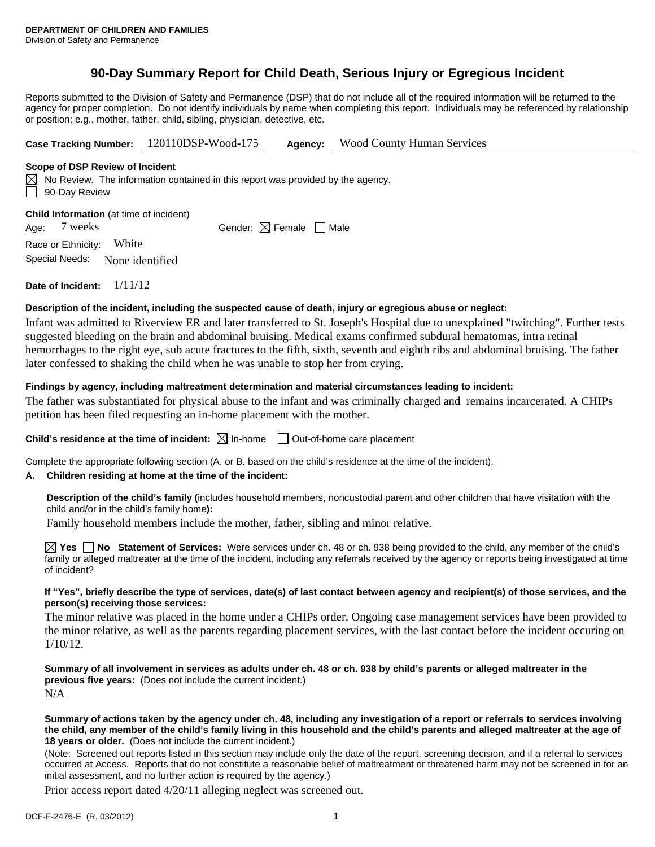# **90-Day Summary Report for Child Death, Serious Injury or Egregious Incident**

Reports submitted to the Division of Safety and Permanence (DSP) that do not include all of the required information will be returned to the agency for proper completion. Do not identify individuals by name when completing this report. Individuals may be referenced by relationship or position; e.g., mother, father, child, sibling, physician, detective, etc.

**Case Tracking Number:** 120110DSP-Wood-175 **Agency:** Wood County Human Services

#### **Scope of DSP Review of Incident**

 $\boxtimes$  No Review. The information contained in this report was provided by the agency. 90-Day Review

**Child Information** (at time of incident)

Age:  $7$  weeks Gender:  $\boxtimes$  Female  $\Box$  Male

Race or Ethnicity: White Special Needs: None identified

**Date of Incident:** 1/11/12

## **Description of the incident, including the suspected cause of death, injury or egregious abuse or neglect:**

Infant was admitted to Riverview ER and later transferred to St. Joseph's Hospital due to unexplained "twitching". Further tests suggested bleeding on the brain and abdominal bruising. Medical exams confirmed subdural hematomas, intra retinal hemorrhages to the right eye, sub acute fractures to the fifth, sixth, seventh and eighth ribs and abdominal bruising. The father later confessed to shaking the child when he was unable to stop her from crying.

## **Findings by agency, including maltreatment determination and material circumstances leading to incident:**

The father was substantiated for physical abuse to the infant and was criminally charged and remains incarcerated. A CHIPs petition has been filed requesting an in-home placement with the mother.

**Child's residence at the time of incident:**  $\boxtimes$  In-home  $\Box$  Out-of-home care placement

Complete the appropriate following section (A. or B. based on the child's residence at the time of the incident).

## **A. Children residing at home at the time of the incident:**

**Description of the child's family (**includes household members, noncustodial parent and other children that have visitation with the child and/or in the child's family home**):** 

Family household members include the mother, father, sibling and minor relative.

**Yes No Statement of Services:** Were services under ch. 48 or ch. 938 being provided to the child, any member of the child's family or alleged maltreater at the time of the incident, including any referrals received by the agency or reports being investigated at time of incident?

#### **If "Yes", briefly describe the type of services, date(s) of last contact between agency and recipient(s) of those services, and the person(s) receiving those services:**

The minor relative was placed in the home under a CHIPs order. Ongoing case management services have been provided to the minor relative, as well as the parents regarding placement services, with the last contact before the incident occuring on 1/10/12.

**Summary of all involvement in services as adults under ch. 48 or ch. 938 by child's parents or alleged maltreater in the previous five years:** (Does not include the current incident.) N/A

#### **Summary of actions taken by the agency under ch. 48, including any investigation of a report or referrals to services involving the child, any member of the child's family living in this household and the child's parents and alleged maltreater at the age of 18 years or older.** (Does not include the current incident.)

(Note: Screened out reports listed in this section may include only the date of the report, screening decision, and if a referral to services occurred at Access. Reports that do not constitute a reasonable belief of maltreatment or threatened harm may not be screened in for an initial assessment, and no further action is required by the agency.)

Prior access report dated 4/20/11 alleging neglect was screened out.